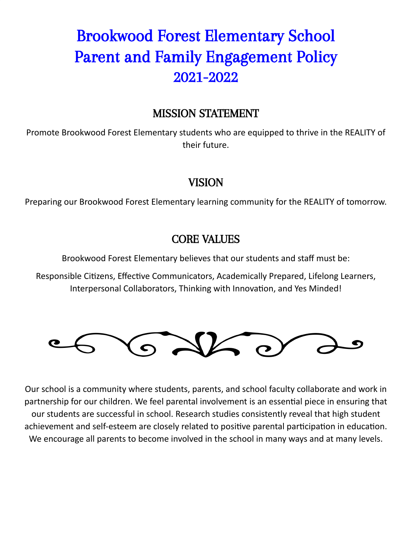# Brookwood Forest Elementary School Parent and Family Engagement Policy 2021-2022

## MISSION STATEMENT

Promote Brookwood Forest Elementary students who are equipped to thrive in the REALITY of their future.

### VISION

Preparing our Brookwood Forest Elementary learning community for the REALITY of tomorrow.

### CORE VALUES

Brookwood Forest Elementary believes that our students and staff must be:

Responsible Citizens, Effective Communicators, Academically Prepared, Lifelong Learners, Interpersonal Collaborators, Thinking with Innovation, and Yes Minded!



Our school is a community where students, parents, and school faculty collaborate and work in partnership for our children. We feel parental involvement is an essential piece in ensuring that our students are successful in school. Research studies consistently reveal that high student achievement and self-esteem are closely related to positive parental participation in education. We encourage all parents to become involved in the school in many ways and at many levels.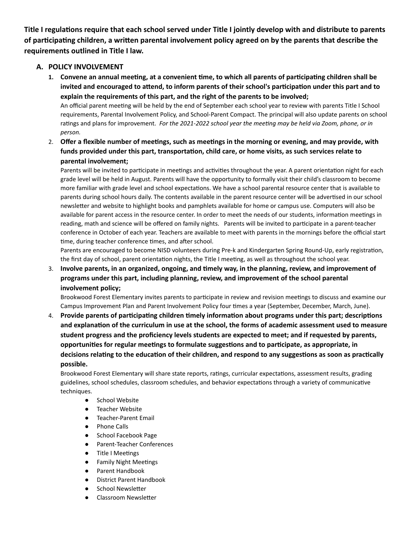Title I regulations require that each school served under Title I jointly develop with and distribute to parents of participating children, a written parental involvement policy agreed on by the parents that describe the **requirements outlined in Title I law.**

#### **A. POLICY INVOLVEMENT**

1. Convene an annual meeting, at a convenient time, to which all parents of participating children shall be **invited and encouraged to aend, to inform parents of their school's parcipaon under this part and to explain the requirements of this part, and the right of the parents to be involved;** An official parent meeting will be held by the end of September each school year to review with parents Title I School

requirements, Parental Involvement Policy, and School-Parent Compact. The principal will also update parents on school rangs and plans for improvement. *For the 2021-2022 school year the meeng may be held via Zoom, phone, or in person.*

2. Offer a flexible number of meetings, such as meetings in the morning or evening, and may provide, with **funds provided under this part, transportaon, child care, or home visits, as such services relate to parental involvement;**

Parents will be invited to participate in meetings and activities throughout the year. A parent orientation night for each grade level will be held in August. Parents will have the opportunity to formally visit their child's classroom to become more familiar with grade level and school expectations. We have a school parental resource center that is available to parents during school hours daily. The contents available in the parent resource center will be advertised in our school newsleer and website to highlight books and pamphlets available for home or campus use. Computers will also be available for parent access in the resource center. In order to meet the needs of our students, information meetings in reading, math and science will be offered on family nights. Parents will be invited to parcipate in a parent-teacher conference in October of each year. Teachers are available to meet with parents in the mornings before the official start time, during teacher conference times, and after school.

Parents are encouraged to become NISD volunteers during Pre-k and Kindergarten Spring Round-Up, early registration, the first day of school, parent orientation nights, the Title I meeting, as well as throughout the school year.

3. **Involve parents, in an organized, ongoing, and mely way, in the planning, review, and improvement of programs under this part, including planning, review, and improvement of the school parental involvement policy;**

Brookwood Forest Elementary invites parents to participate in review and revision meetings to discuss and examine our Campus Improvement Plan and Parent Involvement Policy four times a year (September, December, March, June).

4. **Provide parents of parcipang children mely informaon about programs under this part; descripons** and explanation of the curriculum in use at the school, the forms of academic assessment used to measure **student progress and the proficiency levels students are expected to meet; and if requested by parents, opportunies for regular meengs to formulate suggesons and to parcipate, as appropriate, in decisions relang to the educaon of their children, and respond to any suggesons as soon as praccally possible.**

Brookwood Forest Elementary will share state reports, ratings, curricular expectations, assessment results, grading guidelines, school schedules, classroom schedules, and behavior expectations through a variety of communicative techniques.

- School Website
- Teacher Website
- Teacher-Parent Email
- Phone Calls
- School Facebook Page
- Parent-Teacher Conferences
- Title I Meetings
- Family Night Meetings
- Parent Handbook
- District Parent Handbook
- School Newsletter
- Classroom Newsletter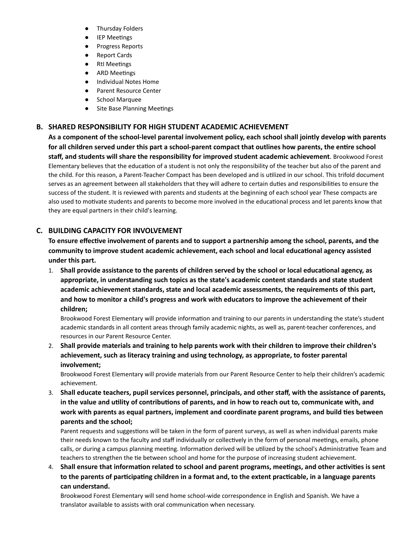- Thursday Folders
- **IEP Meetings**
- Progress Reports
- Report Cards
- RtI Meetings
- ARD Meetings
- **Individual Notes Home**
- Parent Resource Center
- School Marquee
- Site Base Planning Meetings

#### **B. SHARED RESPONSIBILITY FOR HIGH STUDENT ACADEMIC ACHIEVEMENT**

**As a component of the school-level parental involvement policy, each school shall jointly develop with parents** for all children served under this part a school-parent compact that outlines how parents, the entire school **staff, and students will share the responsibility for improved student academic achievement**. Brookwood Forest Elementary believes that the education of a student is not only the responsibility of the teacher but also of the parent and the child. For this reason, a Parent-Teacher Compact has been developed and is ulized in our school. This trifold document serves as an agreement between all stakeholders that they will adhere to certain duties and responsibilities to ensure the success of the student. It is reviewed with parents and students at the beginning of each school year These compacts are also used to motivate students and parents to become more involved in the educational process and let parents know that they are equal partners in their child's learning.

#### **C. BUILDING CAPACITY FOR INVOLVEMENT**

**To ensure effecve involvement of parents and to support a partnership among the school, parents, and the community to improve student academic achievement, each school and local educaonal agency assisted under this part.**

1. **Shall provide assistance to the parents of children served by the school or local educaonal agency, as appropriate, in understanding such topics as the state's academic content standards and state student academic achievement standards, state and local academic assessments, the requirements of this part, and how to monitor a child's progress and work with educators to improve the achievement of their children;**

Brookwood Forest Elementary will provide information and training to our parents in understanding the state's student academic standards in all content areas through family academic nights, as well as, parent-teacher conferences, and resources in our Parent Resource Center.

2. **Shall provide materials and training to help parents work with their children to improve their children's achievement, such as literacy training and using technology, as appropriate, to foster parental involvement;**

Brookwood Forest Elementary will provide materials from our Parent Resource Center to help their children's academic achievement.

3. **Shall educate teachers, pupil services personnel, principals, and other staff, with the assistance of parents,** in the value and utility of contributions of parents, and in how to reach out to, communicate with, and **work with parents as equal partners, implement and coordinate parent programs, and build es between parents and the school;**

Parent requests and suggestions will be taken in the form of parent surveys, as well as when individual parents make their needs known to the faculty and staff individually or collectively in the form of personal meetings, emails, phone calls, or during a campus planning meeting. Information derived will be utilized by the school's Administrative Team and teachers to strengthen the tie between school and home for the purpose of increasing student achievement.

 $4.$  Shall ensure that information related to school and parent programs, meetings, and other activities is sent to the parents of participating children in a format and, to the extent practicable, in a language parents **can understand.**

Brookwood Forest Elementary will send home school-wide correspondence in English and Spanish. We have a translator available to assists with oral communication when necessary.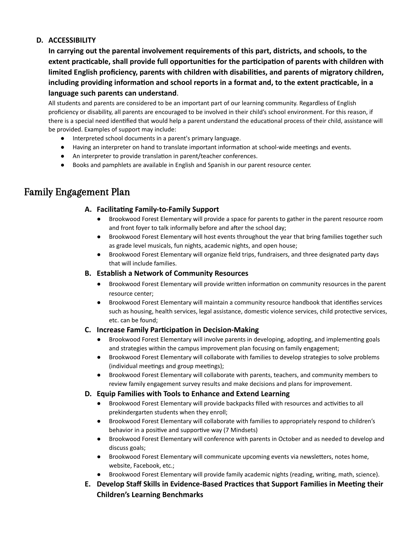#### **D. ACCESSIBILITY**

**In carrying out the parental involvement requirements of this part, districts, and schools, to the** extent practicable, shall provide full opportunities for the participation of parents with children with limited English proficiency, parents with children with disabilities, and parents of migratory children, including providing information and school reports in a format and, to the extent practicable, in a **language such parents can understand**.

All students and parents are considered to be an important part of our learning community. Regardless of English proficiency or disability, all parents are encouraged to be involved in their child's school environment. For this reason, if there is a special need identified that would help a parent understand the educational process of their child, assistance will be provided. Examples of support may include:

- Interpreted school documents in a parent's primary language.
- Having an interpreter on hand to translate important information at school-wide meetings and events.
- An interpreter to provide translation in parent/teacher conferences.
- Books and pamphlets are available in English and Spanish in our parent resource center.

### Family Engagement Plan

#### A. Facilitating Family-to-Family Support

- Brookwood Forest Elementary will provide a space for parents to gather in the parent resource room and front foyer to talk informally before and after the school day;
- Brookwood Forest Elementary will host events throughout the year that bring families together such as grade level musicals, fun nights, academic nights, and open house;
- Brookwood Forest Elementary will organize field trips, fundraisers, and three designated party days that will include families.

#### **B. Establish a Network of Community Resources**

- Brookwood Forest Elementary will provide written information on community resources in the parent resource center;
- Brookwood Forest Elementary will maintain a community resource handbook that identifies services such as housing, health services, legal assistance, domestic violence services, child protective services, etc. can be found;

#### **C.** Increase Family Participation in Decision-Making

- Brookwood Forest Elementary will involve parents in developing, adopting, and implementing goals and strategies within the campus improvement plan focusing on family engagement;
- Brookwood Forest Elementary will collaborate with families to develop strategies to solve problems (individual meetings and group meetings);
- Brookwood Forest Elementary will collaborate with parents, teachers, and community members to review family engagement survey results and make decisions and plans for improvement.

#### **D. Equip Families with Tools to Enhance and Extend Learning**

- Brookwood Forest Elementary will provide backpacks filled with resources and activities to all prekindergarten students when they enroll;
- Brookwood Forest Elementary will collaborate with families to appropriately respond to children's behavior in a positive and supportive way (7 Mindsets)
- Brookwood Forest Elementary will conference with parents in October and as needed to develop and discuss goals;
- Brookwood Forest Elementary will communicate upcoming events via newsletters, notes home, website, Facebook, etc.;
- Brookwood Forest Elementary will provide family academic nights (reading, writing, math, science).
- **E.** Develop Staff Skills in Evidence-Based Practices that Support Families in Meeting their **Children's Learning Benchmarks**